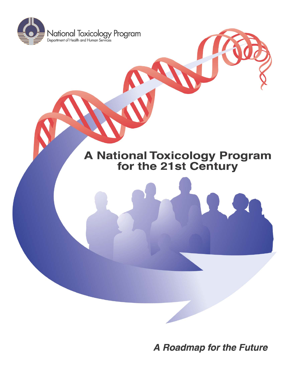

# **A National Toxicology Program<br>for the 21st Century**

A Roadmap for the Future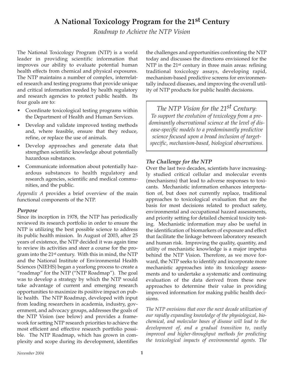### **A National Toxicology Program for the 21st Century**

*Roadmap to Achieve the NTP Vision* 

The National Toxicology Program (NTP) is a world leader in providing scientific information that improves our ability to evaluate potential human health effects from chemical and physical exposures. The NTP maintains a number of complex, interrelated research and testing programs that provide unique and critical information needed by health regulatory and research agencies to protect public health. Its four goals are to:

- Coordinate toxicological testing programs within the Department of Health and Human Services.
- Develop and validate improved testing methods and, where feasible, ensure that they reduce, refine, or replace the use of animals.
- Develop approaches and generate data that strengthen scientific knowledge about potentially hazardous substances.
- Communicate information about potentially hazardous substances to health regulatory and research agencies, scientific and medical communities, and the public.

*Appendix A* provides a brief overview of the main functional components of the NTP.

#### *Purpose*

Since its inception in 1978, the NTP has periodically reviewed its research portfolio in order to ensure the NTP is utilizing the best possible science to address its public health mission. In August of 2003, after 25 years of existence, the NTP decided it was again time to review its activities and steer a course for the program into the 21st century. With this in mind, the NTP and the National Institute of Environmental Health Sciences (NIEHS) began a yearlong process to create a "roadmap" for the NTP ("NTP Roadmap"). The goal was to develop a strategy by which the NTP would take advantage of current and emerging research opportunities to maximize its positive impact on public health. The NTP Roadmap, developed with input from leading researchers in academia, industry, government, and advocacy groups, addresses the goals of the NTP Vision (see below) and provides a framework for setting NTP research priorities to achieve the most efficient and effective research portfolio possible. The NTP Roadmap, which has grown in complexity and scope during its development, identifies

the challenges and opportunities confronting the NTP today and discusses the directions envisioned for the NTP in the 21<sup>st</sup> century in three main areas: refining traditional toxicology assays, developing rapid, mechanism-based predictive screens for environmentally induced diseases, and improving the overall utility of NTP products for public health decisions.

*The NTP Vision for the 21st Century*: *To support the evolution of toxicology from a predominantly observational science at the level of disease-specific models to a predominantly predictive science focused upon a broad inclusion of targetspecific, mechanism-based, biological observations.* 

#### *The Challenge for the NTP*

Over the last two decades, scientists have increasingly studied critical cellular and molecular events (mechanisms) that lead to adverse responses to toxicants. Mechanistic information enhances interpretation of, but does not currently replace, traditional approaches to toxicological evaluation that are the basis for most decisions related to product safety, environmental and occupational hazard assessments, and priority setting for detailed chemical toxicity testing. Mechanistic information may also be useful in the identification of biomarkers of exposure and effect that facilitate the linkage between laboratory research and human risk. Improving the quality, quantity, and utility of mechanistic knowledge is a major impetus behind the NTP Vision. Therefore, as we move forward, the NTP seeks to identify and incorporate more mechanistic approaches into its toxicology assessments and to undertake a systematic and continuing evaluation of the data derived from these new approaches to determine their value in providing improved information for making public health decisions.

*The NTP envisions that over the next decade utilization of our rapidly expanding knowledge of the physiological, biochemical, and molecular bases of disease will lead to the development of, and a gradual transition to, vastly improved and higher-throughput methods for predicting the toxicological impacts of environmental agents. The*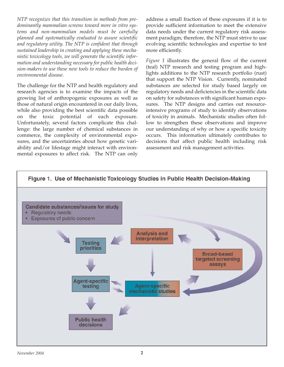*NTP recognizes that this transition in methods from predominantly mammalian screens toward more in vitro systems and non-mammalian models must be carefully planned and systematically evaluated to assure scientific and regulatory utility. The NTP is confident that through sustained leadership in creating and applying these mechanistic toxicology tools, we will generate the scientific information and understanding necessary for public health decision-makers to use these new tools to reduce the burden of environmental disease.* 

The challenge for the NTP and health regulatory and research agencies is to examine the impacts of the growing list of anthropogenic exposures as well as those of natural origin encountered in our daily lives, while also providing the best scientific data possible on the toxic potential of each exposure. Unfortunately, several factors complicate this challenge: the large number of chemical substances in commerce, the complexity of environmental exposures, and the uncertainties about how genetic variability and/or lifestage might interact with environmental exposures to affect risk. The NTP can only address a small fraction of these exposures if it is to provide sufficient information to meet the extensive data needs under the current regulatory risk assessment paradigm; therefore, the NTP must strive to use evolving scientific technologies and expertise to test more efficiently.

*Figure 1* illustrates the general flow of the current (teal) NTP research and testing program and highlights additions to the NTP research portfolio (rust) that support the NTP Vision. Currently, nominated substances are selected for study based largely on regulatory needs and deficiencies in the scientific data on safety for substances with significant human exposures. The NTP designs and carries out resourceintensive programs of study to identify observations of toxicity in animals. Mechanistic studies often follow to strengthen these observations and improve our understanding of why or how a specific toxicity occurs. This information ultimately contributes to decisions that affect public health including risk assessment and risk management activities.

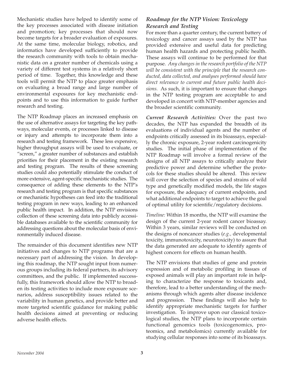Mechanistic studies have helped to identify some of the key processes associated with disease initiation and promotion; key processes that should now become targets for a broader evaluation of exposures. At the same time, molecular biology, robotics, and informatics have developed sufficiently to provide the research community with tools to obtain mechanistic data on a greater number of chemicals using a variety of different test systems in a relatively short period of time. Together, this knowledge and these tools will permit the NTP to place greater emphasis on evaluating a broad range and large number of environmental exposures for key mechanistic endpoints and to use this information to guide further research and testing.

The NTP Roadmap places an increased emphasis on the use of alternative assays for targeting the key pathways, molecular events, or processes linked to disease or injury and attempts to incorporate them into a research and testing framework. These less expensive, higher throughput assays will be used to evaluate, or "screen," a greater number of substances and establish priorities for their placement in the existing research and testing program. The results of these screening studies could also potentially stimulate the conduct of more extensive, agent-specific mechanistic studies. The consequence of adding these elements to the NTP's research and testing program is that specific substances or mechanistic hypotheses can feed into the traditional testing program in new ways, leading to an enhanced public health impact. In addition, the NTP envisions collection of these screening data into publicly accessible databases available to the scientific community for addressing questions about the molecular basis of environmentally induced disease.

The remainder of this document identifies new NTP initiatives and changes to NTP programs that are a necessary part of addressing the vision. In developing this roadmap, the NTP sought input from numerous groups including its federal partners, its advisory committees, and the public. If implemented successfully, this framework should allow the NTP to broaden its testing activities to include more exposure scenarios, address susceptibility issues related to the variability in human genetics, and provide better and more targeted scientific guidance for making public health decisions aimed at preventing or reducing adverse health effects.

#### *Roadmap for the NTP Vision: Toxicology Research and Testing*

For more than a quarter century, the current battery of toxicology and cancer assays used by the NTP has provided extensive and useful data for predicting human health hazards and protecting public health. These assays will continue to be performed for that purpose. *Any changes in the research portfolio of the NTP will be consistent with the principle that the research conducted, data collected, and analyses performed should have direct relevance to current and future public health decisions.* As such, it is important to ensure that changes in the NTP testing program are acceptable to and developed in concert with NTP-member agencies and the broader scientific community.

*Current Research Activities:* Over the past two decades, the NTP has expanded the breadth of its evaluations of individual agents and the number of endpoints critically assessed in its bioassays, especially the chronic exposure, 2-year rodent carcinogenicity studies. The initial phase of implementation of the NTP Roadmap will involve a formal review of the designs of all NTP assays to critically analyze their predictive power and determine whether the protocols for these studies should be altered. This review will cover the selection of species and strains of wild type and genetically modified models, the life stages for exposure, the adequacy of current endpoints, and what additional endpoints to target to achieve the goal of optimal utility for scientific/regulatory decisions.

*Timeline:* Within 18 months, the NTP will examine the design of the current 2-year rodent cancer bioassay. Within 3 years, similar reviews will be conducted on the designs of noncancer studies (*e.g.,* developmental toxicity, immunotoxicity, neurotoxicity) to assure that the data generated are adequate to identify agents of highest concern for effects on human health.

The NTP envisions that studies of gene and protein expression and of metabolic profiling in tissues of exposed animals will play an important role in helping to characterize the response to toxicants and, therefore, lead to a better understanding of the mechanisms through which agents alter disease incidence and progression. These findings will also help to identify appropriate mechanistic targets for further investigation. To improve upon our classical toxicological studies, the NTP plans to incorporate certain functional genomics tools (toxicogenomics, proteomics, and metabolomics) currently available for studying cellular responses into some of its bioassays.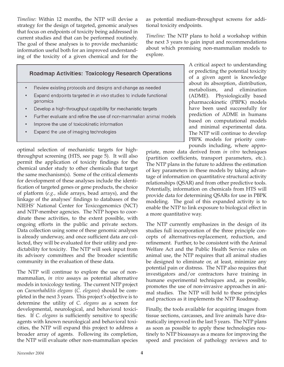*Timeline:* Within 12 months, the NTP will devise a strategy for the design of targeted, genomic analyses that focus on endpoints of toxicity being addressed in current studies and that can be performed routinely. The goal of these analyses is to provide mechanistic information useful both for an improved understanding of the toxicity of a given chemical and for the

**Roadmap Activities: Toxicology Research Operations** 

- Review existing protocols and designs and change as needed
- Expand endpoints targeted in in vivo studies to include functional genomics
- Develop a high-throughput capability for mechanistic targets
- Further evaluate and refine the use of non-mammalian animal models
- Improve the use of toxicokinetic information
- Expand the use of imaging technologies

optimal selection of mechanistic targets for highthroughput screening (HTS, see page 5). It will also permit the application of toxicity findings for the chemical under study to other chemicals that target the same mechanism(s). Some of the critical elements for development of these analyses include the identification of targeted genes or gene products, the choice of platform (*e.g.,* slide arrays, bead arrays), and the linkage of the analyses' findings to databases of the NIEHS' National Center for Toxicogenomics (NCT) and NTP-member agencies. The NTP hopes to coordinate these activities, to the extent possible, with ongoing efforts in the public and private sectors. Data collection using some of these genomic analyses is already underway, and once sufficient data are collected, they will be evaluated for their utility and predictability for toxicity*.* The NTP will seek input from its advisory committees and the broader scientific community in the evaluation of these data.

The NTP will continue to explore the use of nonmammalian, *in vivo* assays as potential alternative models in toxicology testing. The current NTP project on *Caenorhabditis elegans* (*C. elegans*) should be completed in the next 3 years. This project's objective is to determine the utility of *C. elegans* as a screen for developmental, neurological, and behavioral toxicities. If *C. elegans* is sufficiently sensitive to specific agents with known neurological and behavioral toxicities, the NTP will expand this project to address a broader array of agents. Following its completion, the NTP will evaluate other non-mammalian species

as potential medium-throughput screens for additional toxicity endpoints*.* 

*Timeline:* The NTP plans to hold a workshop within the next 3 years to gain input and recommendations about which promising non-mammalian models to explore.

> A critical aspect to understanding or predicting the potential toxicity of a given agent is knowledge about its absorption, distribution, metabolism, and elimination (ADME). Physiologically based pharmacokinetic (PBPK) models have been used successfully for prediction of ADME in humans based on computational models and minimal experimental data. The NTP will continue to develop PBPK models for priority compounds including, where appro-

priate, more data derived from *in vitro* techniques (partition coefficients, transport parameters, etc.). The NTP plans in the future to address the estimation of key parameters in these models by taking advantage of information on quantitative structural activity relationships (QSAR) and from other predictive tools. Potentially, information on chemicals from HTS will provide data for determining QSARs for use in PBPK modeling. The goal of this expanded activity is to enable the NTP to link exposure to biological effect in a more quantitative way.

The NTP currently emphasizes in the design of its studies full incorporation of the three principle concepts of alternatives-replacement, reduction, and refinement. Further, to be consistent with the Animal Welfare Act and the Public Health Service rules on animal use, the NTP requires that all animal studies be designed to eliminate or, at least, minimize any potential pain or distress. The NTP also requires that investigators and/or contractors have training in humane experimental techniques and, as possible, promotes the use of non-invasive approaches in animal studies. The NTP will hold to these principles and practices as it implements the NTP Roadmap.

Finally, the tools available for acquiring images from tissue sections, carcasses, and live animals have dramatically improved in the last 5 years. The NTP plans as soon as possible to apply these technologies routinely to NTP bioassays as a means for improving the speed and precision of pathology reviews and to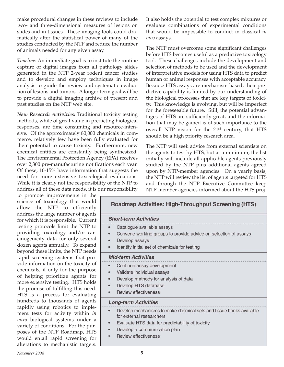make procedural changes in these reviews to include two- and three-dimensional measures of lesions on slides and in tissues. These imaging tools could dramatically alter the statistical power of many of the studies conducted by the NTP and reduce the number of animals needed for any given assay.

*Timeline:* An immediate goal is to institute the routine capture of digital images from all pathology slides generated in the NTP 2-year rodent cancer studies and to develop and employ techniques in image analysis to guide the review and systematic evaluation of lesions and tumors. A longer-term goal will be to provide a digital imaging archive of present and past studies on the NTP web site.

*New Research Activities:* Traditional toxicity testing methods, while of great value in predicting biological responses, are time consuming and resource-intensive. Of the approximately 80,000 chemicals in commerce, relatively few have been fully evaluated for their potential to cause toxicity. Furthermore, new chemical entities are constantly being synthesized. The Environmental Protection Agency (EPA) receives over 2,300 pre-manufacturing notifications each year. Of these, 10-15% have information that suggests the need for more extensive toxicological evaluations. While it is clearly not the responsibility of the NTP to address all of these data needs, it is our responsibility

to promote improvements in the science of toxicology that wo allow the NTP to efficier address the large number of age for which it is responsible. Current testing protocols limit the NTP providing toxicology and/or  $\alpha$ cinogenicity data for only seve dozen agents annually. To expand beyond these limits, the NTP need rapid screening systems that p vide information on the toxicity chemicals, if only for the purper of helping prioritize agents more extensive testing. HTS ho the promise of fulfilling this ne HTS is a process for evaluat hundreds to thousands of age rapidly using robotics to imp ment tests for activity within *in vitro* biological systems under variety of conditions. For the p poses of the NTP Roadmap, H would entail rapid screening alterations to mechanistic targets. It also holds the potential to test complex mixtures or evaluate combinations of experimental conditions that would be impossible to conduct in classical *in vivo* assays.

The NTP must overcome some significant challenges before HTS becomes useful as a predictive toxicology tool. These challenges include the development and selection of methods to be used and the development of interpretative models for using HTS data to predict human or animal responses with acceptable accuracy. Because HTS assays are mechanism-based, their predictive capability is limited by our understanding of the biological processes that are key targets of toxicity. This knowledge is evolving, but will be imperfect for the foreseeable future. Still, the potential advantages of HTS are sufficiently great, and the information that may be gained is of such importance to the overall NTP vision for the 21st century, that HTS should be a high priority research area.

The NTP will seek advice from external scientists on the agents to test by HTS, but at a minimum, the list initially will include all applicable agents previously studied by the NTP plus additional agents agreed upon by NTP-member agencies. On a yearly basis, the NTP will review the list of agents targeted for HTS and through the NTP Executive Committee keep NTP-member agencies informed about the HTS proj-

| uld<br>ıtly        | <b>Roadmap Activities: High-Throughput Screening (HTS)</b>                                                   |  |
|--------------------|--------------------------------------------------------------------------------------------------------------|--|
| ents<br>ent:       | <b>Short-term Activities</b>                                                                                 |  |
| $\overline{\ }$ to | Catalogue available assays<br>۰                                                                              |  |
| car-               | Convene working groups to provide advice on selection of assays<br>۰                                         |  |
| eral               | Develop assays<br>$\bullet$                                                                                  |  |
| and<br>eds         | Identify initial set of chemicals for testing<br>$\bullet$                                                   |  |
| -oro               | <b>Mid-term Activities</b>                                                                                   |  |
| y of               | Continue assay development<br>$\bullet$                                                                      |  |
| ose                | Validate individual assays<br>$\bullet$                                                                      |  |
| for                | Develop methods for analysis of data<br>$\bullet$                                                            |  |
| əlds<br>eed.       | Develop HTS database<br>۰                                                                                    |  |
| ing                | <b>Review effectiveness</b><br>$\bullet$                                                                     |  |
| ents               | <b>Long-term Activities</b>                                                                                  |  |
| ple-<br>in         | Develop mechanisms to make chemical sets and tissue banks available<br>$\bullet$<br>for external researchers |  |
| r a                | Evaluate HTS data for predictability of toxicity<br>۰                                                        |  |
| ur-<br>ҤS          | Develop a communication plan<br>۰                                                                            |  |
| for                | <b>Review effectiveness</b><br>۰                                                                             |  |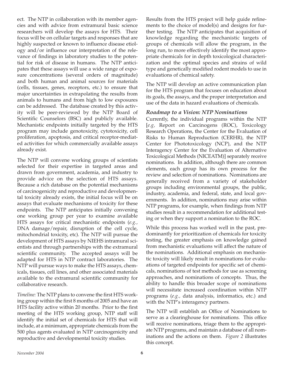ect. The NTP in collaboration with its member agencies and with advice from extramural basic science researchers will develop the assays for HTS. Their focus will be on cellular targets and responses that are highly suspected or known to influence disease etiology and/or influence our interpretation of the relevance of findings in laboratory studies to the potential for risk of disease in humans. The NTP anticipates that these assays will use a wide range of exposure concentrations (several orders of magnitude) and both human and animal sources for materials (cells, tissues, genes, receptors, etc.) to ensure that major uncertainties in extrapolating the results from animals to humans and from high to low exposures can be addressed. The database created by this activity will be peer-reviewed by the NTP Board of Scientific Counselors (BSC) and publicly available. Mechanistic endpoints initially targeted by the HTS program may include genotoxicity, cytotoxicity, cell proliferation, apoptosis, and critical receptor-mediated activities for which commercially available assays already exist.

The NTP will convene working groups of scientists selected for their expertise in targeted areas and drawn from government, academia, and industry to provide advice on the selection of HTS assays. Because a rich database on the potential mechanisms of carcinogenicity and reproductive and developmental toxicity already exists, the initial focus will be on assays that evaluate mechanisms of toxicity for these endpoints. The NTP anticipates initially convening one working group per year to examine available HTS assays for critical mechanistic endpoints (*e.g.,*  DNA damage/repair, disruption of the cell cycle, mitochondrial toxicity, etc). The NTP will pursue the development of HTS assays by NIEHS intramural scientists and through partnerships with the extramural scientific community. The accepted assays will be adapted for HTS in NTP contract laboratories. The NTP will pursue ways to make the HTS assays, chemicals, tissues, cell lines, and other associated materials available to the extramural scientific community for collaborative research.

*Timeline:* The NTP plans to convene the first HTS working group within the first 8 months of 2005 and have an HTS facility active within 20 months. Prior to the first meeting of the HTS working group, NTP staff will identify the initial set of chemicals for HTS that will include, at a minimum, appropriate chemicals from the 500 plus agents evaluated in NTP carcinogenicity and reproductive and developmental toxicity studies.

Results from the HTS project will help guide refinements to the choice of model(s) and designs for further testing. The NTP anticipates that acquisition of knowledge regarding the mechanistic targets of groups of chemicals will allow the program, in the long run, to more effectively identify the most appropriate chemicals for in depth toxicological characterization and the optimal species and strains of wild type and genetically modified rodent models to use in evaluations of chemical safety.

The NTP will develop an active communication plan for the HTS program that focuses on education about its goals, the assays, and the proper interpretation and use of the data in hazard evaluations of chemicals.

#### *Roadmap to a Vision: NTP Nominations*

Currently, the individual programs within the NTP [*e.g,* Report on Carcinogens (ROC), Toxicology Research Operations, the Center for the Evaluation of Risks to Human Reproduction (CERHR), the NTP Center for Phototoxicology (NCP), and the NTP Interagency Center for the Evaluation of Alternative Toxicological Methods (NICEATM)] separately receive nominations. In addition, although there are common elements, each group has its own process for the review and selection of nominations. Nominations are generally received from a variety of stakeholder groups including environmental groups, the public, industry, academia, and federal, state, and local governments. In addition, nominations may arise within NTP programs, for example, when findings from NTP studies result in a recommendation for additional testing or when they support a nomination to the ROC.

While this process has worked well in the past, predominantly for prioritization of chemicals for toxicity testing, the greater emphasis on knowledge gained from mechanistic evaluations will affect the nature of the nominations. Additional emphasis on mechanistic toxicity will likely result in nominations for evaluations of targeted endpoints for specific set of chemicals, nominations of test methods for use as screening approaches, and nominations of concepts. Thus, the ability to handle this broader scope of nominations will necessitate increased coordination within NTP programs (*e.g.,* data analysis, informatics, etc.) and with the NTP's interagency partners.

The NTP will establish an Office of Nominations to serve as a clearinghouse for nominations. This office will receive nominations, triage them to the appropriate NTP programs, and maintain a database of all nominations and the actions on them. *Figure 2* illustrates this concept.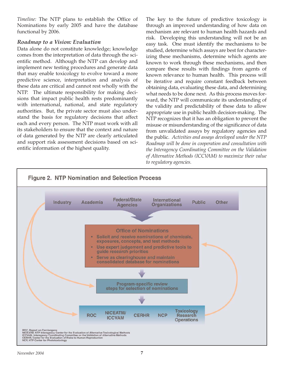*Timeline:* The NTP plans to establish the Office of Nominations by early 2005 and have the database functional by 2006.

#### *Roadmap to a Vision: Evaluation*

Data alone do not constitute knowledge; knowledge comes from the interpretation of data through the scientific method. Although the NTP can develop and implement new testing procedures and generate data that may enable toxicology to evolve toward a more predictive science, interpretation and analysis of these data are critical and cannot rest wholly with the NTP. The ultimate responsibility for making decisions that impact public health rests predominantly with international, national, and state regulatory authorities. But, the private sector must also understand the basis for regulatory decisions that affect each and every person. The NTP must work with all its stakeholders to ensure that the context and nature of data generated by the NTP are clearly articulated and support risk assessment decisions based on scientific information of the highest quality.

The key to the future of predictive toxicology is through an improved understanding of how data on mechanism are relevant to human health hazards and risk. Developing this understanding will not be an easy task. One must identify the mechanisms to be studied, determine which assays are best for characterizing these mechanisms, determine which agents are known to work through these mechanisms, and then compare these results with findings from agents of known relevance to human health. This process will be iterative and require constant feedback between obtaining data, evaluating these data, and determining what needs to be done next. As this process moves forward, the NTP will communicate its understanding of the validity and predictability of these data to allow appropriate use in public health decision-making. The NTP recognizes that it has an obligation to prevent the misuse or misunderstanding of the significance of data from unvalidated assays by regulatory agencies and the public. *Activities and assays developed under the NTP Roadmap will be done in cooperation and consultation with the Interagency Coordinating Committee on the Validation of Alternative Methods (ICCVAM) to maximize their value to regulatory agencies.* 

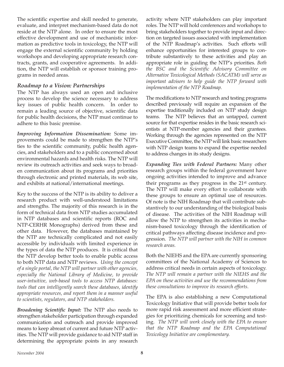The scientific expertise and skill needed to generate, evaluate, and interpret mechanism-based data do not reside at the NTP alone. In order to ensure the most effective development and use of mechanistic information as predictive tools in toxicology, the NTP will engage the external scientific community by holding workshops and developing appropriate research contracts, grants, and cooperative agreements. In addition, the NTP will establish or sponsor training programs in needed areas.

#### *Roadmap to a Vision: Partnerships*

The NTP has always used an open and inclusive process to develop the science necessary to address key issues of public health concern. In order to remain a leading source of objective, scientific data for public health decisions, the NTP must continue to adhere to this basic premise.

*Improving Information Dissemination:* Some improvements could be made to strengthen the NTP's ties to the scientific community, public health agencies, and stakeholders and to a public concerned about environmental hazards and health risks. The NTP will review its outreach activities and seek ways to broaden communication about its programs and priorities through electronic and printed materials, its web site, and exhibits at national/international meetings.

Key to the success of the NTP is its ability to deliver a research product with well-understood limitations and strengths. The majority of this research is in the form of technical data from NTP studies accumulated in NTP databases and scientific reports (ROC and NTP-CERHR Monographs) derived from these and other data. However, the databases maintained by the NTP are technically complicated and not easily accessible by individuals with limited experience in the types of data the NTP produces. It is critical that the NTP develop better tools to enable public access to both NTP data and NTP reviews. *Using the concept of a single portal, the NTP will partner with other agencies, especially the National Library of Medicine, to provide user-intuitive, web-based tools to access NTP databases: tools that can intelligently search these databases, identify appropriate resources, and report them in a manner useful to scientists, regulators, and NTP stakeholders.* 

*Broadening Scientific Input:* The NTP also needs to strengthen stakeholder participation through expanded communication and outreach and provide improved means to keep abreast of current and future NTP activities. The NTP will provide guidance to aid NTP staff in determining the appropriate points in any research

activity where NTP stakeholders can play important roles. The NTP will hold conferences and workshops to bring stakeholders together to provide input and direction on targeted issues associated with implementation of the NTP Roadmap's activities. Such efforts will enhance opportunities for interested groups to contribute substantively to these activities and play an appropriate role in guiding the NTP's priorities. *Both the BSC and the Scientific Advisory Committee on Alternative Toxicological Methods (SACATM) will serve as important advisors to help guide the NTP forward with implementation of the NTP Roadmap.* 

The modifications to NTP research and testing programs described previously will require an expansion of the expertise traditionally included on NTP study design teams. The NTP believes that an untapped, current source for that expertise resides in the basic research scientists at NTP-member agencies and their grantees. Working through the agencies represented on the NTP Executive Committee, the NTP will link basic researchers with NTP design teams to expand the expertise needed to address changes in its study designs.

*Expanding Ties with Federal Partners:* Many other research groups within the federal government have ongoing activities intended to improve and advance their programs as they progress in the 21st century. The NTP will make every effort to collaborate with these groups to ensure an optimal use of resources. Of note is the NIH Roadmap that will contribute substantively to our understanding of the biological basis of disease. The activities of the NIH Roadmap will allow the NTP to strengthen its activities in mechanism-based toxicology through the identification of critical pathways affecting disease incidence and progression. *The NTP will partner with the NIH in common research areas.* 

Both the NIEHS and the EPA are currently sponsoring committees of the National Academy of Sciences to address critical needs in certain aspects of toxicology. *The NTP will remain a partner with the NIEHS and the EPA on these activities and use the recommendations from these consultations to improve its research efforts*.

The EPA is also establishing a new Computational Toxicology Initiative that will provide better tools for more rapid risk assessment and more efficient strategies for prioritizing chemicals for screening and testing. *The NTP will work closely with the EPA to ensure that the NTP Roadmap and the EPA Computational Toxicology Initiative are complementary.*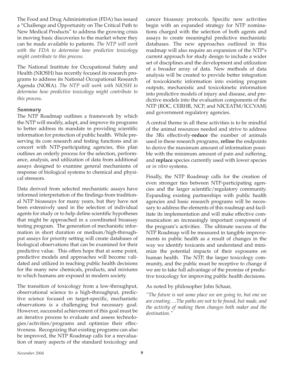The Food and Drug Administration (FDA) has issued a "Challenge and Opportunity on The Critical Path to New Medical Products" to address the growing crisis in moving basic discoveries to the market where they can be made available to patients. *The NTP will work with the FDA to determine how predictive toxicology might contribute to this process.* 

The National Institute for Occupational Safety and Health (NIOSH) has recently focused its research programs to address its National Occupational Research Agenda (NORA). *The NTP will work with NIOSH to determine how predictive toxicology might contribute to this process.* 

#### *Summary*

The NTP Roadmap outlines a framework by which the NTP will modify, adapt, and improve its programs to better address its mandate in providing scientific information for protection of public health. While preserving its core research and testing functions and in concert with NTP-participating agencies, this plan outlines an orderly process for the selection, performance, analysis, and utilization of data from additional assays designed to examine general mechanisms of response of biological systems to chemical and physical stressors.

to which humans are exposed in modern society. Data derived from selected mechanistic assays have informed interpretation of the findings from traditional NTP bioassays for many years, but they have not been extensively used in the selection of individual agents for study or to help define scientific hypotheses that might be approached in a coordinated bioassay testing program. The generation of mechanistic information in short duration or medium/high-throughput assays for priority setting will create databases of biological observations that can be examined for their predictive value. This offers hope that at some point, predictive models and approaches will become validated and utilized in reaching public health decisions for the many new chemicals, products, and mixtures

The transition of toxicology from a low-throughput, observational science to a high-throughput, predictive science focused on target-specific, mechanistic observations is a challenging but necessary goal. However, successful achievement of this goal must be an iterative process to evaluate and assess technologies/activities/programs and optimize their effectiveness. Recognizing that existing programs can also be improved, the NTP Roadmap calls for a reevaluation of many aspects of the standard toxicology and

cancer bioassay protocols. Specific new activities begin with an expanded strategy for NTP nominations charged with the selection of both agents and assays to create meaningful predictive mechanistic databases. The new approaches outlined in this roadmap will also require an expansion of the NTP's current approach for study design to include a wider set of disciplines and the development and utilization of a broader array of data. New methods of data analysis will be created to provide better integration of toxicokinetic information into existing program outputs, mechanistic and toxicokinetic information into predictive models of injury and disease, and predictive models into the evaluation components of the NTP (ROC, CERHR, NCP, and NICEATM/ICCVAM) and government regulatory agencies.

A central theme in all these activities is to be mindful of the animal resources needed and strive to address the 3Rs effectively-**reduce** the number of animals used in these research programs, **refine** the endpoints to derive the maximum amount of information possible with the minimum amount of pain and suffering, and **replace** species currently used with lower species or *in vitro* systems.

Finally, the NTP Roadmap calls for the creation of even stronger ties between NTP-participating agencies and the larger scientific/regulatory community. Expanding existing partnerships with public health agencies and basic research programs will be necessary to address the elements of this roadmap and facilitate its implementation and will make effective communication an increasingly important component of the program's activities. The ultimate success of the NTP Roadmap will be measured in tangible improvements in public health as a result of changes in the way we identify toxicants and understand and minimize the potential impacts of their exposures on human health. The NTP, the larger toxicology community, and the public must be receptive to change if we are to take full advantage of the promise of predictive toxicology for improving public health decisions.

As noted by philosopher John Schaar,

*"The future is not some place we are going to, but one we are creating.…The paths are not to be found, but made, and the activity of making them changes both maker and the destination."*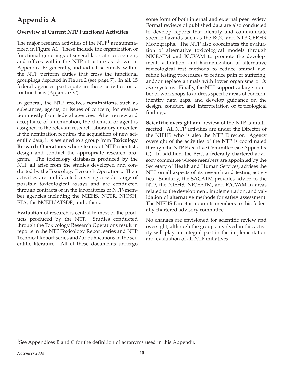## **Appendix A**

#### **Overview of Current NTP Functional Activities**

The major research activities of the NTP<sup>1</sup> are summarized in Figure A1. These include the organization of functional groupings of several laboratories, centers, and offices within the NTP structure as shown in Appendix B; generally, individual scientists within the NTP perform duties that cross the functional groupings depicted in Figure 2 (see page 7). In all, 15 federal agencies participate in these activities on a routine basis (Appendix C).

In general, the NTP receives **nominations**, such as substances, agents, or issues of concern, for evaluation mostly from federal agencies. After review and acceptance of a nomination, the chemical or agent is assigned to the relevant research laboratory or center. If the nomination requires the acquisition of new scientific data, it is assigned to a group from **Toxicology Research Operations** where teams of NTP scientists design and conduct the appropriate research program. The toxicology databases produced by the NTP all arise from the studies developed and conducted by the Toxicology Research Operations. Their activities are multifaceted covering a wide range of possible toxicological assays and are conducted through contracts or in the laboratories of NTP-member agencies including the NIEHS, NCTR, NIOSH, EPA, the NCEH/ATSDR, and others.

**Evaluation** of research is central to most of the products produced by the NTP. Studies conducted through the Toxicology Research Operations result in reports in the NTP Toxicology Report series and NTP Technical Report series and/or publications in the scientific literature. All of these documents undergo

some form of both internal and external peer review. Formal reviews of published data are also conducted to develop reports that identify and communicate specific hazards such as the ROC and NTP-CERHR Monographs. The NTP also coordinates the evaluation of alternative toxicological models through NICEATM and ICCVAM to promote the development, validation, and harmonization of alternative toxicological test methods to reduce animal use, refine testing procedures to reduce pain or suffering, and/or replace animals with lower organisms or *in vitro* systems. Finally, the NTP supports a large number of workshops to address specific areas of concern, identify data gaps, and develop guidance on the design, conduct, and interpretation of toxicological findings.

**Scientific oversight and review** of the NTP is multifaceted. All NTP activities are under the Director of the NIEHS who is also the NTP Director. Agency oversight of the activities of the NTP is coordinated through the NTP Executive Committee (see Appendix C). In addition, the BSC, a federally chartered advisory committee whose members are appointed by the Secretary of Health and Human Services, advises the NTP on all aspects of its research and testing activities. Similarly, the SACATM provides advice to the NTP, the NIEHS, NICEATM, and ICCVAM in areas related to the development, implementation, and validation of alternative methods for safety assessment. The NIEHS Director appoints members to this federally chartered advisory committee.

No changes are envisioned for scientific review and oversight, although the groups involved in this activity will play an integral part in the implementation and evaluation of all NTP initiatives.

1See Appendices B and C for the definition of acronyms used in this Appendix.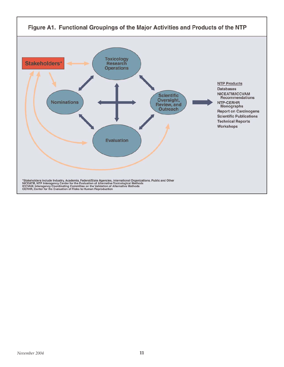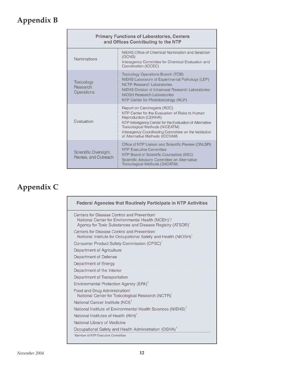# **Appendix B**

| <b>Primary Functions of Laboratories, Centers</b><br>and Offices Contributing to the NTP |                                                                                                                                                                                                                                                                                                  |  |
|------------------------------------------------------------------------------------------|--------------------------------------------------------------------------------------------------------------------------------------------------------------------------------------------------------------------------------------------------------------------------------------------------|--|
| Nominations                                                                              | NIEHS Office of Chemical Nomination and Selection<br>(OCNS)<br>Interagency Committee for Chemical Evaluation and<br>Coordination (ICCEC)                                                                                                                                                         |  |
| Toxicology<br>Research<br><b>Operations</b>                                              | <b>Toxicology Operations Branch (TOB)</b><br>NIEHS Laboratory of Experimental Pathology (LEP)<br><b>NCTR Research Laboratories</b><br>NIEHS Division of Intramural Research Laboratories<br><b>NIOSH Research Laboratories</b><br>NTP Center for Phototoxicology (NCP)                           |  |
| <b>Fvaluation</b>                                                                        | Report on Carcinogens (ROC)<br>NTP Center for the Evaluation of Risks to Human<br>Reproduction (CERHR)<br>NTP Interagency Center for the Evaluation of Alternative<br>Toxicological Methods (NICEATM)<br>Interagency Coordinating Committee on the Validation<br>of Alternative Methods (ICCVAM) |  |
| Scientific Oversight,<br>Review, and Outreach                                            | Office of NTP Liaison and Scientific Review (ONLSR)<br><b>NTP Executive Committee</b><br>NTP Board of Scientific Counselors (BSC)<br>Scientific Advisory Committee on Alternative<br><b>Toxicological Methods (SACATM)</b>                                                                       |  |

## **Appendix C**

| <b>Federal Agencies that Routinely Participate in NTP Activities</b>                                                                                                                   |
|----------------------------------------------------------------------------------------------------------------------------------------------------------------------------------------|
| Centers for Disease Control and Prevention/<br>National Center for Environmental Health (NCEH) <sup>1</sup> /<br>Agency for Toxic Substances and Disease Registry (ATSDR) <sup>1</sup> |
| Centers for Disease Control and Prevention/<br>National Institute for Occupational Safety and Health (NIOSH) <sup>1</sup>                                                              |
| Consumer Product Safety Commission (CPSC) <sup>1</sup>                                                                                                                                 |
| Department of Agriculture                                                                                                                                                              |
| Department of Defense                                                                                                                                                                  |
| Department of Energy                                                                                                                                                                   |
| Department of the Interior                                                                                                                                                             |
| Department of Transportation                                                                                                                                                           |
| Environmental Protection Agency (EPA) <sup>1</sup>                                                                                                                                     |
| Food and Drug Administration/<br>National Center for Toxicological Research (NCTR) <sup>1</sup>                                                                                        |
| National Cancer Institute (NCI) <sup>1</sup>                                                                                                                                           |
| National Institute of Environmental Health Sciences (NIEHS) <sup>1</sup>                                                                                                               |
| National Institutes of Health (NIH) <sup>1</sup>                                                                                                                                       |
| National Library of Medicine                                                                                                                                                           |
| Occupational Safety and Health Administration (OSHA) <sup>1</sup>                                                                                                                      |